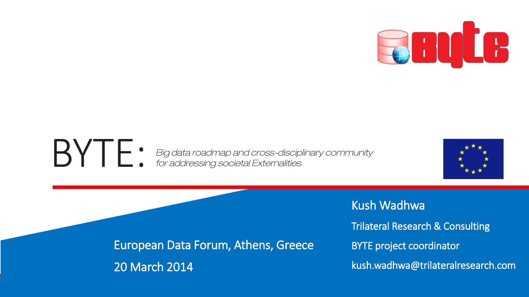

#### BYTE: *Big data roadmap and cross-disciplinary community for addressing societal Externalities*



European Data Forum, Athens, Greece 20 March 2014

Kush Wadhwa Trilateral Research & Consulting BYTE project coordinator kush.wadhwa@trilateralresearch.com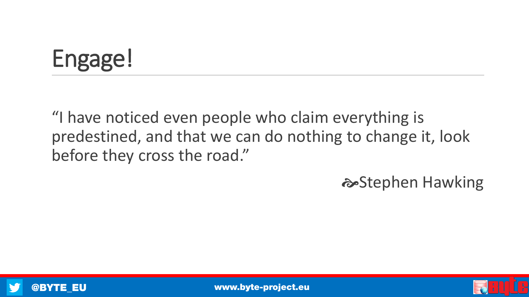# Engage!

"I have noticed even people who claim everything is predestined, and that we can do nothing to change it, look before they cross the road."

 $\approx$ **Stephen Hawking** 





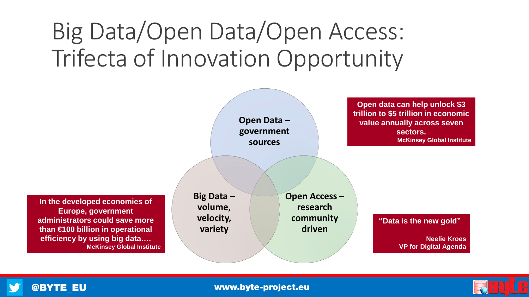## Big Data/Open Data/Open Access: Trifecta of Innovation Opportunity





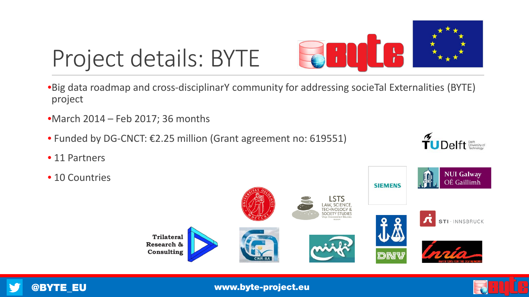

# Project details: BYTE

- •Big data roadmap and cross-disciplinarY community for addressing socieTal Externalities (BYTE) project
- •March 2014 Feb 2017; 36 months
- Funded by DG-CNCT: €2.25 million (Grant agreement no: 619551)
- 11 Partners
- 10 Countries



 $\widetilde{\mathbf{T}}$ UDelft  $\overset{\text{Deiff}}{\text{Theorem 1}}$ 





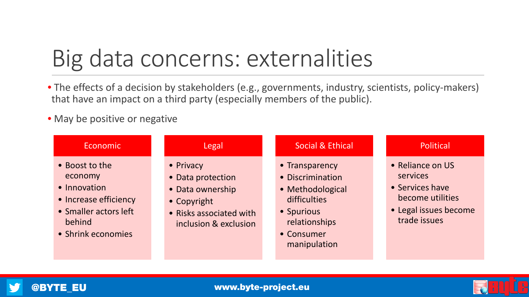## Big data concerns: externalities

- The effects of a decision by stakeholders (e.g., governments, industry, scientists, policy-makers) that have an impact on a third party (especially members of the public).
- May be positive or negative

| <b>Economic</b>                                                                                                             | Legal                                                                                                                 | <b>Social &amp; Ethical</b>                                                                                                         | Political                                                                                                    |
|-----------------------------------------------------------------------------------------------------------------------------|-----------------------------------------------------------------------------------------------------------------------|-------------------------------------------------------------------------------------------------------------------------------------|--------------------------------------------------------------------------------------------------------------|
| • Boost to the<br>economy<br>• Innovation<br>• Increase efficiency<br>• Smaller actors left<br>behind<br>• Shrink economies | • Privacy<br>• Data protection<br>• Data ownership<br>• Copyright<br>• Risks associated with<br>inclusion & exclusion | • Transparency<br>• Discrimination<br>• Methodological<br>difficulties<br>• Spurious<br>relationships<br>• Consumer<br>manipulation | • Reliance on US<br>services<br>• Services have<br>become utilities<br>• Legal issues become<br>trade issues |



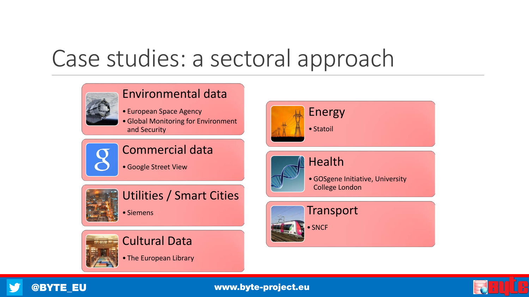## Case studies: a sectoral approach





### Cultural Data

• The European Library



## Health

•GOSgene Initiative, University College London





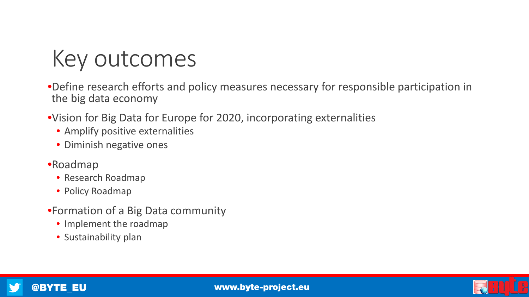## Key outcomes

•Define research efforts and policy measures necessary for responsible participation in the big data economy

•Vision for Big Data for Europe for 2020, incorporating externalities

- Amplify positive externalities
- Diminish negative ones
- •Roadmap
	- Research Roadmap
	- Policy Roadmap
- •Formation of a Big Data community
	- Implement the roadmap
	- Sustainability plan

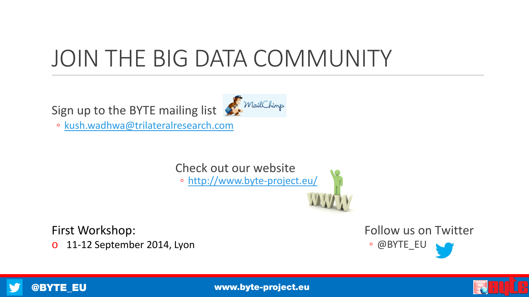## JOIN THE BIG DATA COMMUNITY

Sign up to the BYTE mailing list MailChimp

◦ [kush.wadhwa@trilateralresearch.com](mailto:kush.wadhwa@trilateralresearch.com)

Check out our website ◦ <http://www.byte-project.eu/>

First Workshop: o 11-12 September 2014, Lyon Follow us on Twitter